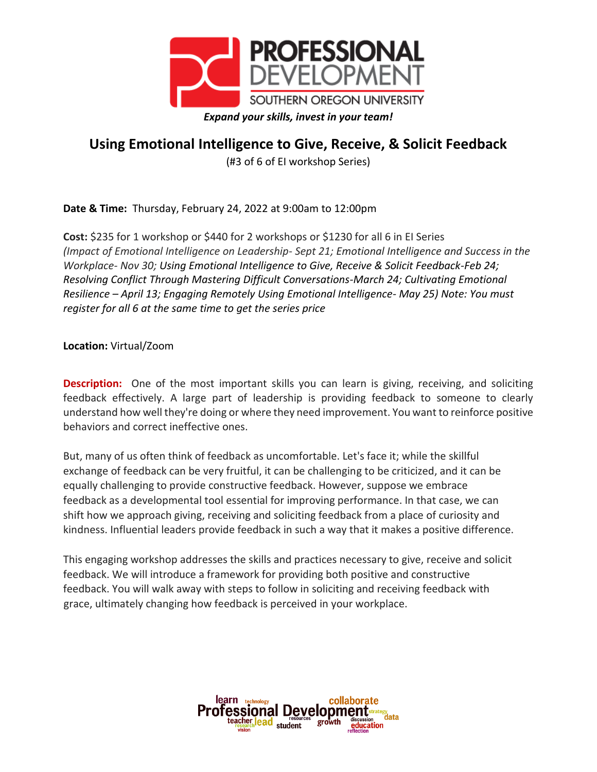

## **Using Emotional Intelligence to Give, Receive, & Solicit Feedback**

(#3 of 6 of EI workshop Series)

**Date & Time:** Thursday, February 24, 2022 at 9:00am to 12:00pm

**Cost:** \$235 for 1 workshop or \$440 for 2 workshops or \$1230 for all 6 in EI Series *(Impact of Emotional Intelligence on Leadership- Sept 21; Emotional Intelligence and Success in the Workplace- Nov 30; Using Emotional Intelligence to Give, Receive & Solicit Feedback-Feb 24; Resolving Conflict Through Mastering Difficult Conversations-March 24; Cultivating Emotional Resilience – April 13; Engaging Remotely Using Emotional Intelligence- May 25) Note: You must register for all 6 at the same time to get the series price*

**Location:** Virtual/Zoom

**Description:** One of the most important skills you can learn is giving, receiving, and soliciting feedback effectively. A large part of leadership is providing feedback to someone to clearly understand how well they're doing or where they need improvement. You want to reinforce positive behaviors and correct ineffective ones.

But, many of us often think of feedback as uncomfortable. Let's face it; while the skillful exchange of feedback can be very fruitful, it can be challenging to be criticized, and it can be equally challenging to provide constructive feedback. However, suppose we embrace feedback as a developmental tool essential for improving performance. In that case, we can shift how we approach giving, receiving and soliciting feedback from a place of curiosity and kindness. Influential leaders provide feedback in such a way that it makes a positive difference.

This engaging workshop addresses the skills and practices necessary to give, receive and solicit feedback. We will introduce a framework for providing both positive and constructive feedback. You will walk away with steps to follow in soliciting and receiving feedback with grace, ultimately changing how feedback is perceived in your workplace.